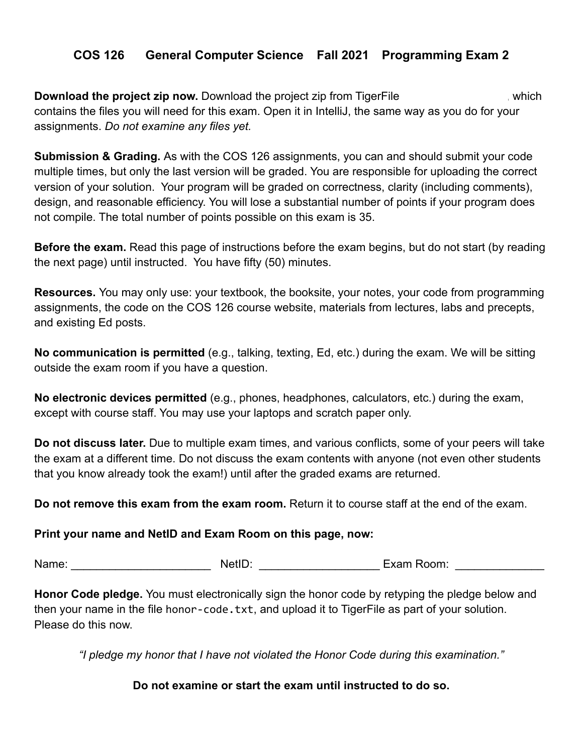# **COS 126 General Computer Science Fall 2021 Programming Exam 2**

**Download the project zip now.** Download the project zip from TigerFile (https://which contains the files you will need for this exam. Open it in IntelliJ, the same way as you do for your assignments. *Do not examine any files yet.*

**Submission & Grading.** As with the COS 126 assignments, you can and should submit your code multiple times, but only the last version will be graded. You are responsible for uploading the correct version of your solution. Your program will be graded on correctness, clarity (including comments), design, and reasonable efficiency. You will lose a substantial number of points if your program does not compile. The total number of points possible on this exam is 35.

**Before the exam.** Read this page of instructions before the exam begins, but do not start (by reading the next page) until instructed. You have fifty (50) minutes.

**Resources.** You may only use: your textbook, the booksite, your notes, your code from programming assignments, the code on the COS 126 course website, materials from lectures, labs and precepts, and existing Ed posts.

**No communication is permitted** (e.g., talking, texting, Ed, etc.) during the exam. We will be sitting outside the exam room if you have a question.

**No electronic devices permitted** (e.g., phones, headphones, calculators, etc.) during the exam, except with course staff. You may use your laptops and scratch paper only.

**Do not discuss later.** Due to multiple exam times, and various conflicts, some of your peers will take the exam at a different time. Do not discuss the exam contents with anyone (not even other students that you know already took the exam!) until after the graded exams are returned.

**Do not remove this exam from the exam room.** Return it to course staff at the end of the exam.

## **Print your name and NetID and Exam Room on this page, now:**

Name: The Communication of the NetID: The Communication of the Exam Room:  $\blacksquare$ 

**Honor Code pledge.** You must electronically sign the honor code by retyping the pledge below and then your name in the file honor-code.txt, and upload it to TigerFile as part of your solution. Please do this now.

*"I pledge my honor that I have not violated the Honor Code during this examination."*

## **Do not examine or start the exam until instructed to do so.**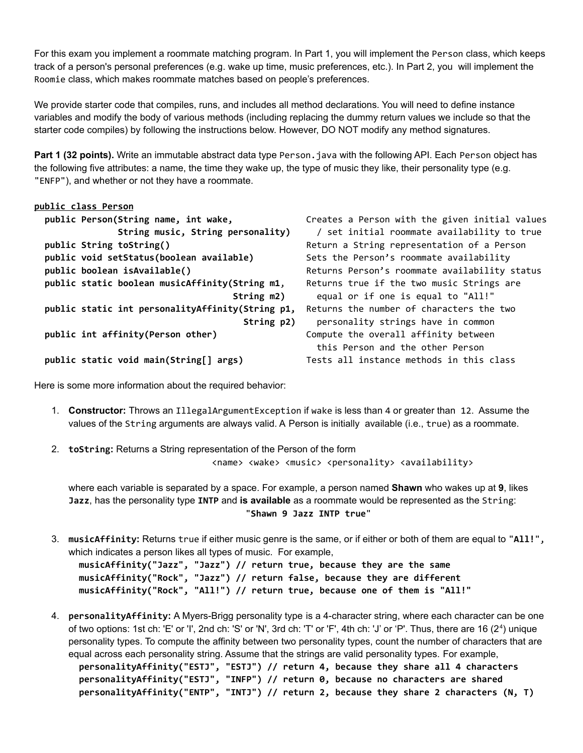For this exam you implement a roommate matching program. In Part 1, you will implement the Person class, which keeps track of a person's personal preferences (e.g. wake up time, music preferences, etc.). In Part 2, you will implement the Roomie class, which makes roommate matches based on people's preferences.

We provide starter code that compiles, runs, and includes all method declarations. You will need to define instance variables and modify the body of various methods (including replacing the dummy return values we include so that the starter code compiles) by following the instructions below. However, DO NOT modify any method signatures.

**Part 1 (32 points).** Write an immutable abstract data type Person.java with the following API. Each Person object has the following five attributes: a name, the time they wake up, the type of music they like, their personality type (e.g. "ENFP"), and whether or not they have a roommate.

#### **public class Person**

```
public String toString() Return a String representation of a Person
public void setStatus(boolean available) Sets the Person's roommate availability
public boolean isAvailable() Returns Person's roommate availability status
public static boolean musicAffinity(String m1, Returns true if the two music Strings are
public static int personalityAffinity(String p1, Returns the number of characters the two
public int affinity(Person other) Compute the overall affinity between
```
**public Person(String name, int wake,** Creates a Person with the given initial values **String music, String personality)** / set initial roommate availability to true **String m2)** equal or if one is equal to "All!" **String p2)** personality strings have in common this Person and the other Person **public static void main(String[] args)** Tests all instance methods in this class

Here is some more information about the required behavior:

- 1. **Constructor:** Throws an IllegalArgumentException if wake is less than 4 or greater than 12. Assume the values of the String arguments are always valid. A Person is initially available (i.e., true) as a roommate.
- 2. **toString:** Returns a String representation of the Person of the form <name> <wake> <music> <personality> <availability>

where each variable is separated by a space. For example, a person named **Shawn** who wakes up at **9**, likes **Jazz**, has the personality type **INTP** and **is available** as a roommate would be represented as the String: "**Shawn 9 Jazz INTP true**"

3. **musicAffinity:** Returns true if either music genre is the same, or if either or both of them are equal to "**All!**", which indicates a person likes all types of music. For example,

**musicAffinity("Jazz", "Jazz") // return true, because they are the same musicAffinity("Rock", "Jazz") // return false, because they are different musicAffinity("Rock", "All!") // return true, because one of them is "All!"**

4. **personalityAffinity:** A Myers-Brigg personality type is a 4-character string, where each character can be one of two options: 1st ch: 'E' or 'I', 2nd ch: 'S' or 'N', 3rd ch: 'T' or 'F', 4th ch: 'J' or 'P'. Thus, there are 16 (2<sup>4</sup>) unique personality types. To compute the affinity between two personality types, count the number of characters that are equal across each personality string. Assume that the strings are valid personality types. For example, **personalityAffinity("ESTJ", "ESTJ") // return 4, because they share all 4 characters personalityAffinity("ESTJ", "INFP") // return 0, because no characters are shared personalityAffinity("ENTP", "INTJ") // return 2, because they share 2 characters (N, T)**